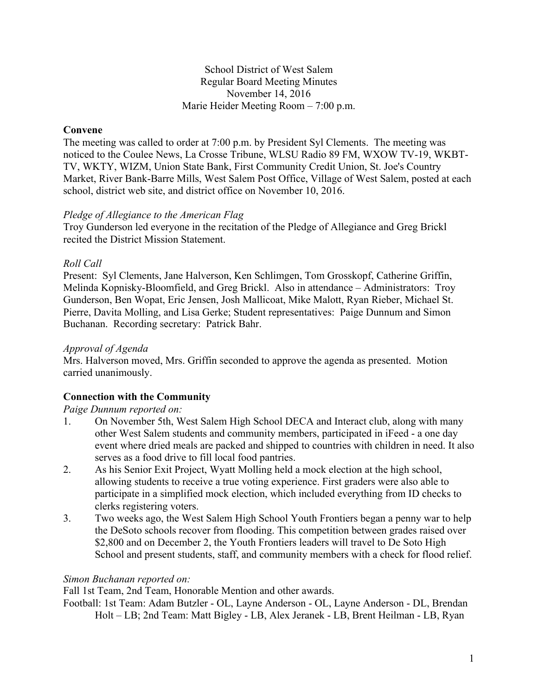#### School District of West Salem Regular Board Meeting Minutes November 14, 2016 Marie Heider Meeting Room – 7:00 p.m.

## **Convene**

The meeting was called to order at 7:00 p.m. by President Syl Clements. The meeting was noticed to the Coulee News, La Crosse Tribune, WLSU Radio 89 FM, WXOW TV-19, WKBT-TV, WKTY, WIZM, Union State Bank, First Community Credit Union, St. Joe's Country Market, River Bank-Barre Mills, West Salem Post Office, Village of West Salem, posted at each school, district web site, and district office on November 10, 2016.

## *Pledge of Allegiance to the American Flag*

Troy Gunderson led everyone in the recitation of the Pledge of Allegiance and Greg Brickl recited the District Mission Statement.

## *Roll Call*

Present: Syl Clements, Jane Halverson, Ken Schlimgen, Tom Grosskopf, Catherine Griffin, Melinda Kopnisky-Bloomfield, and Greg Brickl. Also in attendance – Administrators: Troy Gunderson, Ben Wopat, Eric Jensen, Josh Mallicoat, Mike Malott, Ryan Rieber, Michael St. Pierre, Davita Molling, and Lisa Gerke; Student representatives: Paige Dunnum and Simon Buchanan. Recording secretary: Patrick Bahr.

## *Approval of Agenda*

Mrs. Halverson moved, Mrs. Griffin seconded to approve the agenda as presented. Motion carried unanimously.

# **Connection with the Community**

## *Paige Dunnum reported on:*

- 1. On November 5th, West Salem High School DECA and Interact club, along with many other West Salem students and community members, participated in iFeed - a one day event where dried meals are packed and shipped to countries with children in need. It also serves as a food drive to fill local food pantries.
- 2. As his Senior Exit Project, Wyatt Molling held a mock election at the high school, allowing students to receive a true voting experience. First graders were also able to participate in a simplified mock election, which included everything from ID checks to clerks registering voters.
- 3. Two weeks ago, the West Salem High School Youth Frontiers began a penny war to help the DeSoto schools recover from flooding. This competition between grades raised over \$2,800 and on December 2, the Youth Frontiers leaders will travel to De Soto High School and present students, staff, and community members with a check for flood relief.

## *Simon Buchanan reported on:*

Fall 1st Team, 2nd Team, Honorable Mention and other awards.

Football: 1st Team: Adam Butzler - OL, Layne Anderson - OL, Layne Anderson - DL, Brendan Holt – LB; 2nd Team: Matt Bigley - LB, Alex Jeranek - LB, Brent Heilman - LB, Ryan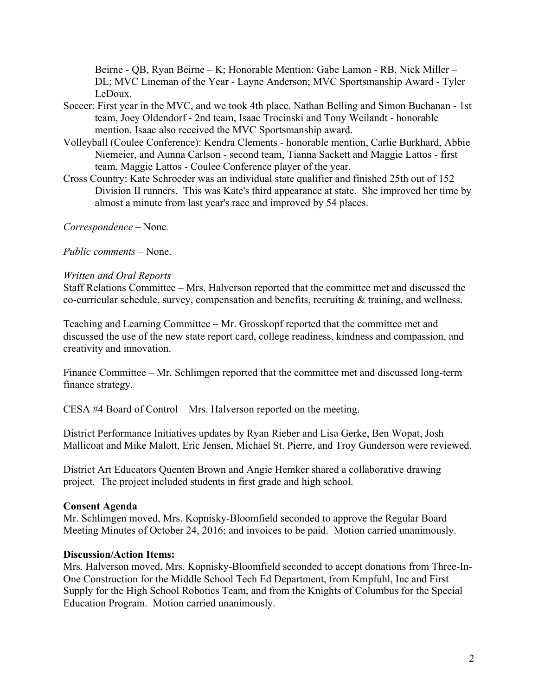Beirne - QB, Ryan Beirne – K; Honorable Mention: Gabe Lamon - RB, Nick Miller – DL; MVC Lineman of the Year - Layne Anderson; MVC Sportsmanship Award - Tyler LeDoux.

- Soccer: First year in the MVC, and we took 4th place. Nathan Belling and Simon Buchanan 1st team, Joey Oldendorf - 2nd team, Isaac Trocinski and Tony Weilandt - honorable mention. Isaac also received the MVC Sportsmanship award.
- Volleyball (Coulee Conference): Kendra Clements honorable mention, Carlie Burkhard, Abbie Niemeier, and Aunna Carlson - second team, Tianna Sackett and Maggie Lattos - first team, Maggie Lattos - Coulee Conference player of the year.
- Cross Country: Kate Schroeder was an individual state qualifier and finished 25th out of 152 Division II runners. This was Kate's third appearance at state. She improved her time by almost a minute from last year's race and improved by 54 places.

*Correspondence* – None*.*

*Public comments –* None.

#### *Written and Oral Reports*

Staff Relations Committee – Mrs. Halverson reported that the committee met and discussed the co-curricular schedule, survey, compensation and benefits, recruiting & training, and wellness.

Teaching and Learning Committee – Mr. Grosskopf reported that the committee met and discussed the use of the new state report card, college readiness, kindness and compassion, and creativity and innovation.

Finance Committee – Mr. Schlimgen reported that the committee met and discussed long-term finance strategy.

CESA #4 Board of Control – Mrs. Halverson reported on the meeting.

District Performance Initiatives updates by Ryan Rieber and Lisa Gerke, Ben Wopat, Josh Mallicoat and Mike Malott, Eric Jensen, Michael St. Pierre, and Troy Gunderson were reviewed.

District Art Educators Quenten Brown and Angie Hemker shared a collaborative drawing project. The project included students in first grade and high school.

#### **Consent Agenda**

Mr. Schlimgen moved, Mrs. Kopnisky-Bloomfield seconded to approve the Regular Board Meeting Minutes of October 24, 2016; and invoices to be paid. Motion carried unanimously.

#### **Discussion/Action Items:**

Mrs. Halverson moved, Mrs. Kopnisky-Bloomfield seconded to accept donations from Three-In-One Construction for the Middle School Tech Ed Department, from Kmpfuhl, Inc and First Supply for the High School Robotics Team, and from the Knights of Columbus for the Special Education Program. Motion carried unanimously.